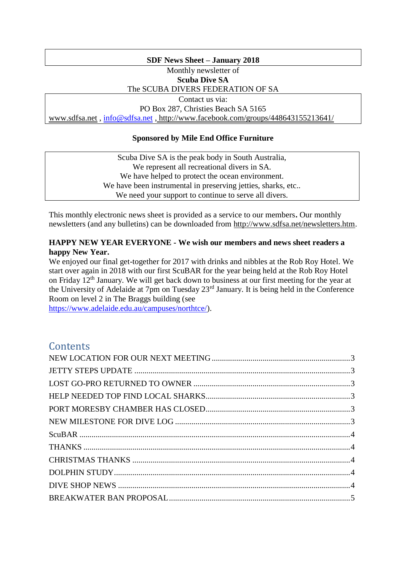### **SDF News Sheet – January 2018**

Monthly newsletter of

**Scuba Dive SA**

The SCUBA DIVERS FEDERATION OF SA

Contact us via:

PO Box 287, Christies Beach SA 5165 [www.sdfsa.net](http://www.sdfsa.net/) , [info@sdfsa.net](mailto:info@sdfsa.net) , <http://www.facebook.com/groups/448643155213641/>

### **Sponsored by Mile End Office Furniture**

Scuba Dive SA is the peak body in South Australia, We represent all recreational divers in SA. We have helped to protect the ocean environment. We have been instrumental in preserving jetties, sharks, etc... We need your support to continue to serve all divers.

This monthly electronic news sheet is provided as a service to our members**.** Our monthly newsletters (and any bulletins) can be downloaded from [http://www.sdfsa.net/newsletters.htm.](http://www.sdfsa.net/newsletters.htm)

### **HAPPY NEW YEAR EVERYONE - We wish our members and news sheet readers a happy New Year.**

We enjoyed our final get-together for 2017 with drinks and nibbles at the Rob Roy Hotel. We start over again in 2018 with our first ScuBAR for the year being held at the Rob Roy Hotel on Friday 12<sup>th</sup> January. We will get back down to business at our first meeting for the year at the University of Adelaide at 7pm on Tuesday 23rd January. It is being held in the Conference Room on level 2 in The Braggs building (see

[https://www.adelaide.edu.au/campuses/northtce/\)](https://www.adelaide.edu.au/campuses/northtce/).

# **Contents**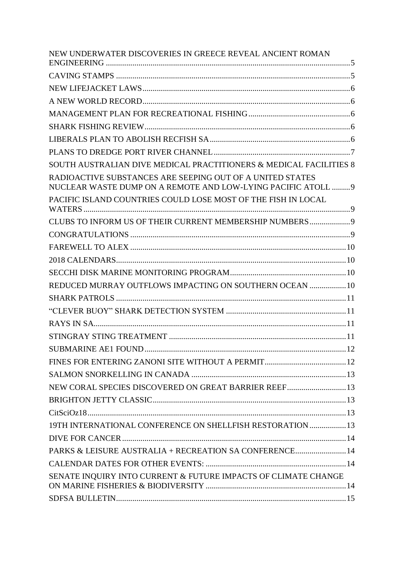| NEW UNDERWATER DISCOVERIES IN GREECE REVEAL ANCIENT ROMAN                                                                  |  |
|----------------------------------------------------------------------------------------------------------------------------|--|
|                                                                                                                            |  |
|                                                                                                                            |  |
|                                                                                                                            |  |
|                                                                                                                            |  |
|                                                                                                                            |  |
|                                                                                                                            |  |
|                                                                                                                            |  |
| SOUTH AUSTRALIAN DIVE MEDICAL PRACTITIONERS & MEDICAL FACILITIES 8                                                         |  |
| RADIOACTIVE SUBSTANCES ARE SEEPING OUT OF A UNITED STATES<br>NUCLEAR WASTE DUMP ON A REMOTE AND LOW-LYING PACIFIC ATOLL  9 |  |
| PACIFIC ISLAND COUNTRIES COULD LOSE MOST OF THE FISH IN LOCAL                                                              |  |
| CLUBS TO INFORM US OF THEIR CURRENT MEMBERSHIP NUMBERS                                                                     |  |
|                                                                                                                            |  |
|                                                                                                                            |  |
|                                                                                                                            |  |
|                                                                                                                            |  |
| REDUCED MURRAY OUTFLOWS IMPACTING ON SOUTHERN OCEAN  10                                                                    |  |
|                                                                                                                            |  |
|                                                                                                                            |  |
|                                                                                                                            |  |
|                                                                                                                            |  |
| SUBMARINE AE1 FOUND                                                                                                        |  |
|                                                                                                                            |  |
|                                                                                                                            |  |
| NEW CORAL SPECIES DISCOVERED ON GREAT BARRIER REEF 13                                                                      |  |
|                                                                                                                            |  |
|                                                                                                                            |  |
| 19TH INTERNATIONAL CONFERENCE ON SHELLFISH RESTORATION  13                                                                 |  |
|                                                                                                                            |  |
| PARKS & LEISURE AUSTRALIA + RECREATION SA CONFERENCE 14                                                                    |  |
|                                                                                                                            |  |
| SENATE INQUIRY INTO CURRENT & FUTURE IMPACTS OF CLIMATE CHANGE                                                             |  |
|                                                                                                                            |  |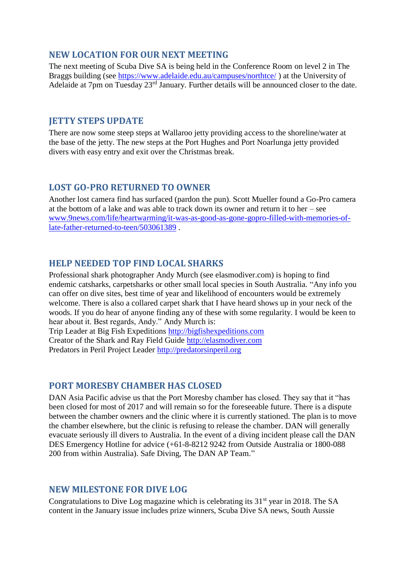# <span id="page-2-0"></span>**NEW LOCATION FOR OUR NEXT MEETING**

The next meeting of Scuba Dive SA is being held in the Conference Room on level 2 in The Braggs building (see<https://www.adelaide.edu.au/campuses/northtce/>) at the University of Adelaide at 7pm on Tuesday 23<sup>rd</sup> January. Further details will be announced closer to the date.

### <span id="page-2-1"></span>**JETTY STEPS UPDATE**

There are now some steep steps at Wallaroo jetty providing access to the shoreline/water at the base of the jetty. The new steps at the Port Hughes and Port Noarlunga jetty provided divers with easy entry and exit over the Christmas break.

### <span id="page-2-2"></span>**LOST GO-PRO RETURNED TO OWNER**

Another lost camera find has surfaced (pardon the pun). Scott Mueller found a Go-Pro camera at the bottom of a lake and was able to track down its owner and return it to her – see [www.9news.com/life/heartwarming/it-was-as-good-as-gone-gopro-filled-with-memories-of](http://www.9news.com/life/heartwarming/it-was-as-good-as-gone-gopro-filled-with-memories-of-late-father-returned-to-teen/503061389)[late-father-returned-to-teen/503061389](http://www.9news.com/life/heartwarming/it-was-as-good-as-gone-gopro-filled-with-memories-of-late-father-returned-to-teen/503061389) .

### <span id="page-2-3"></span>**HELP NEEDED TOP FIND LOCAL SHARKS**

Professional shark photographer Andy Murch (see elasmodiver.com) is hoping to find endemic catsharks, carpetsharks or other small local species in South Australia. "Any info you can offer on dive sites, best time of year and likelihood of encounters would be extremely welcome. There is also a collared carpet shark that I have heard shows up in your neck of the woods. If you do hear of anyone finding any of these with some regularity. I would be keen to hear about it. Best regards, Andy." Andy Murch is:

Trip Leader at Big Fish Expeditions [http://bigfishexpeditions.com](http://bigfishexpeditions.com/) Creator of the Shark and Ray Field Guide [http://elasmodiver.com](http://elasmodiver.com/) Predators in Peril Project Leader [http://predatorsinperil.org](http://predatorsinperil.org/)

### <span id="page-2-4"></span>**PORT MORESBY CHAMBER HAS CLOSED**

DAN Asia Pacific advise us that the Port Moresby chamber has closed. They say that it "has been closed for most of 2017 and will remain so for the foreseeable future. There is a dispute between the chamber owners and the clinic where it is currently stationed. The plan is to move the chamber elsewhere, but the clinic is refusing to release the chamber. DAN will generally evacuate seriously ill divers to Australia. In the event of a diving incident please call the DAN DES Emergency Hotline for advice (+61-8-8212 9242 from Outside Australia or 1800-088 200 from within Australia). Safe Diving, The DAN AP Team."

### <span id="page-2-5"></span>**NEW MILESTONE FOR DIVE LOG**

Congratulations to Dive Log magazine which is celebrating its  $31<sup>st</sup>$  year in 2018. The SA content in the January issue includes prize winners, Scuba Dive SA news, South Aussie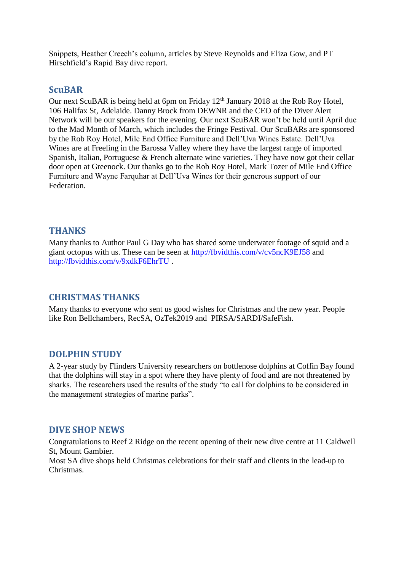Snippets, Heather Creech's column, articles by Steve Reynolds and Eliza Gow, and PT Hirschfield's Rapid Bay dive report.

### <span id="page-3-0"></span>**ScuBAR**

Our next ScuBAR is being held at 6pm on Friday  $12<sup>th</sup>$  January 2018 at the Rob Roy Hotel, 106 Halifax St, Adelaide. Danny Brock from DEWNR and the CEO of the Diver Alert Network will be our speakers for the evening. Our next ScuBAR won't be held until April due to the Mad Month of March, which includes the Fringe Festival. Our ScuBARs are sponsored by the Rob Roy Hotel, Mile End Office Furniture and Dell'Uva Wines Estate. Dell'Uva Wines are at Freeling in the Barossa Valley where they have the largest range of imported Spanish, Italian, Portuguese & French alternate wine varieties. They have now got their cellar door open at Greenock. Our thanks go to the Rob Roy Hotel, Mark Tozer of Mile End Office Furniture and Wayne Farquhar at Dell'Uva Wines for their generous support of our Federation.

### <span id="page-3-1"></span>**THANKS**

Many thanks to Author Paul G Day who has shared some underwater footage of squid and a giant octopus with us. These can be seen at<http://fbvidthis.com/v/cv5ncK9EJ58> and <http://fbvidthis.com/v/9xdkF6EhrTU> .

### <span id="page-3-2"></span>**CHRISTMAS THANKS**

Many thanks to everyone who sent us good wishes for Christmas and the new year. People like Ron Bellchambers, RecSA, OzTek2019 and PIRSA/SARDI/SafeFish.

### <span id="page-3-3"></span>**DOLPHIN STUDY**

A 2-year study by Flinders University researchers on bottlenose dolphins at Coffin Bay found that the dolphins will stay in a spot where they have plenty of food and are not threatened by sharks. The researchers used the results of the study "to call for dolphins to be considered in the management strategies of marine parks".

### <span id="page-3-4"></span>**DIVE SHOP NEWS**

Congratulations to Reef 2 Ridge on the recent opening of their new dive centre at 11 Caldwell St, Mount Gambier.

Most SA dive shops held Christmas celebrations for their staff and clients in the lead-up to Christmas.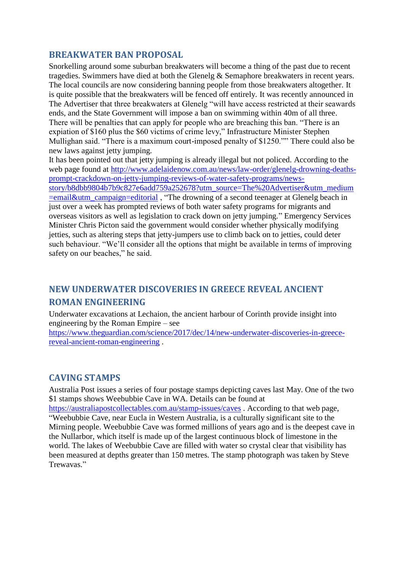# <span id="page-4-0"></span>**BREAKWATER BAN PROPOSAL**

Snorkelling around some suburban breakwaters will become a thing of the past due to recent tragedies. Swimmers have died at both the Glenelg & Semaphore breakwaters in recent years. The local councils are now considering banning people from those breakwaters altogether. It is quite possible that the breakwaters will be fenced off entirely. It was recently announced in The Advertiser that three breakwaters at Glenelg "will have access restricted at their seawards ends, and the State Government will impose a ban on swimming within 40m of all three. There will be penalties that can apply for people who are breaching this ban. "There is an expiation of \$160 plus the \$60 victims of crime levy," Infrastructure Minister Stephen Mullighan said. "There is a maximum court-imposed penalty of \$1250."" There could also be new laws against jetty jumping.

It has been pointed out that jetty jumping is already illegal but not policed. According to the web page found at [http://www.adelaidenow.com.au/news/law-order/glenelg-drowning-deaths](http://www.adelaidenow.com.au/news/law-order/glenelg-drowning-deaths-prompt-crackdown-on-jetty-jumping-reviews-of-water-safety-programs/news-story/b8dbb9804b7b9c827e6add759a252678?utm_source=The%20Advertiser&utm_medium=email&utm_campaign=editorial)[prompt-crackdown-on-jetty-jumping-reviews-of-water-safety-programs/news-](http://www.adelaidenow.com.au/news/law-order/glenelg-drowning-deaths-prompt-crackdown-on-jetty-jumping-reviews-of-water-safety-programs/news-story/b8dbb9804b7b9c827e6add759a252678?utm_source=The%20Advertiser&utm_medium=email&utm_campaign=editorial)

[story/b8dbb9804b7b9c827e6add759a252678?utm\\_source=The%20Advertiser&utm\\_medium](http://www.adelaidenow.com.au/news/law-order/glenelg-drowning-deaths-prompt-crackdown-on-jetty-jumping-reviews-of-water-safety-programs/news-story/b8dbb9804b7b9c827e6add759a252678?utm_source=The%20Advertiser&utm_medium=email&utm_campaign=editorial) [=email&utm\\_campaign=editorial](http://www.adelaidenow.com.au/news/law-order/glenelg-drowning-deaths-prompt-crackdown-on-jetty-jumping-reviews-of-water-safety-programs/news-story/b8dbb9804b7b9c827e6add759a252678?utm_source=The%20Advertiser&utm_medium=email&utm_campaign=editorial) , "The drowning of a second teenager at Glenelg beach in just over a week has prompted reviews of both water safety programs for migrants and overseas visitors as well as legislation to crack down on jetty jumping." Emergency Services Minister Chris Picton said the government would consider whether physically modifying jetties, such as altering steps that jetty-jumpers use to climb back on to jetties, could deter such behaviour. "We'll consider all the options that might be available in terms of improving safety on our beaches," he said.

# <span id="page-4-1"></span>**NEW UNDERWATER DISCOVERIES IN GREECE REVEAL ANCIENT ROMAN ENGINEERING**

Underwater excavations at Lechaion, the ancient harbour of Corinth provide insight into engineering by the Roman Empire – see

[https://www.theguardian.com/science/2017/dec/14/new-underwater-discoveries-in-greece](https://www.theguardian.com/science/2017/dec/14/new-underwater-discoveries-in-greece-reveal-ancient-roman-engineering)[reveal-ancient-roman-engineering](https://www.theguardian.com/science/2017/dec/14/new-underwater-discoveries-in-greece-reveal-ancient-roman-engineering) .

# <span id="page-4-2"></span>**CAVING STAMPS**

Australia Post issues a series of four postage stamps depicting caves last May. One of the two \$1 stamps shows Weebubbie Cave in WA. Details can be found at

<https://australiapostcollectables.com.au/stamp-issues/caves> . According to that web page, "Weebubbie Cave, near Eucla in Western Australia, is a culturally significant site to the Mirning people. Weebubbie Cave was formed millions of years ago and is the deepest cave in the Nullarbor, which itself is made up of the largest continuous block of limestone in the world. The lakes of Weebubbie Cave are filled with water so crystal clear that visibility has been measured at depths greater than 150 metres. The stamp photograph was taken by Steve Trewavas."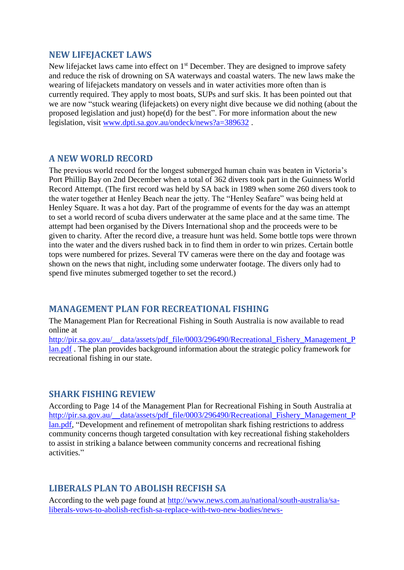### <span id="page-5-0"></span>**NEW LIFEJACKET LAWS**

New lifejacket laws came into effect on 1<sup>st</sup> December. They are designed to improve safety and reduce the risk of drowning on SA waterways and coastal waters. The new laws make the wearing of lifejackets mandatory on vessels and in water activities more often than is currently required. They apply to most boats, SUPs and surf skis. It has been pointed out that we are now "stuck wearing (lifejackets) on every night dive because we did nothing (about the proposed legislation and just) hope(d) for the best". For more information about the new legislation, visit [www.dpti.sa.gov.au/ondeck/news?a=389632](http://www.dpti.sa.gov.au/ondeck/news?a=389632) .

### <span id="page-5-1"></span>**A NEW WORLD RECORD**

The previous world record for the longest submerged human chain was beaten in Victoria's Port Phillip Bay on 2nd December when a total of 362 divers took part in the Guinness World Record Attempt. (The first record was held by SA back in 1989 when some 260 divers took to the water together at Henley Beach near the jetty. The "Henley Seafare" was being held at Henley Square. It was a hot day. Part of the programme of events for the day was an attempt to set a world record of scuba divers underwater at the same place and at the same time. The attempt had been organised by the Divers International shop and the proceeds were to be given to charity. After the record dive, a treasure hunt was held. Some bottle tops were thrown into the water and the divers rushed back in to find them in order to win prizes. Certain bottle tops were numbered for prizes. Several TV cameras were there on the day and footage was shown on the news that night, including some underwater footage. The divers only had to spend five minutes submerged together to set the record.)

# <span id="page-5-2"></span>**MANAGEMENT PLAN FOR RECREATIONAL FISHING**

The Management Plan for Recreational Fishing in South Australia is now available to read online at

[http://pir.sa.gov.au/\\_\\_data/assets/pdf\\_file/0003/296490/Recreational\\_Fishery\\_Management\\_P](http://pir.sa.gov.au/__data/assets/pdf_file/0003/296490/Recreational_Fishery_Management_Plan.pdf) [lan.pdf](http://pir.sa.gov.au/__data/assets/pdf_file/0003/296490/Recreational_Fishery_Management_Plan.pdf) . The plan provides background information about the strategic policy framework for recreational fishing in our state.

### <span id="page-5-3"></span>**SHARK FISHING REVIEW**

According to Page 14 of the Management Plan for Recreational Fishing in South Australia at [http://pir.sa.gov.au/\\_\\_data/assets/pdf\\_file/0003/296490/Recreational\\_Fishery\\_Management\\_P](http://pir.sa.gov.au/__data/assets/pdf_file/0003/296490/Recreational_Fishery_Management_Plan.pdf) [lan.pdf,](http://pir.sa.gov.au/__data/assets/pdf_file/0003/296490/Recreational_Fishery_Management_Plan.pdf) "Development and refinement of metropolitan shark fishing restrictions to address community concerns though targeted consultation with key recreational fishing stakeholders to assist in striking a balance between community concerns and recreational fishing activities."

# <span id="page-5-4"></span>**LIBERALS PLAN TO ABOLISH RECFISH SA**

According to the web page found at [http://www.news.com.au/national/south-australia/sa](http://www.news.com.au/national/south-australia/sa-liberals-vows-to-abolish-recfish-sa-replace-with-two-new-bodies/news-story/33f48a5d08b1d1bd4548f6e2145bbf44)[liberals-vows-to-abolish-recfish-sa-replace-with-two-new-bodies/news-](http://www.news.com.au/national/south-australia/sa-liberals-vows-to-abolish-recfish-sa-replace-with-two-new-bodies/news-story/33f48a5d08b1d1bd4548f6e2145bbf44)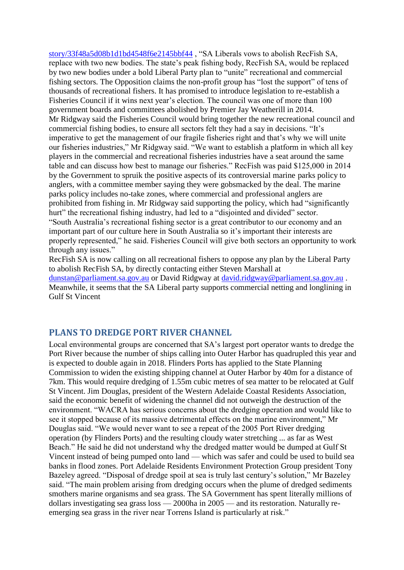[story/33f48a5d08b1d1bd4548f6e2145bbf44](http://www.news.com.au/national/south-australia/sa-liberals-vows-to-abolish-recfish-sa-replace-with-two-new-bodies/news-story/33f48a5d08b1d1bd4548f6e2145bbf44) , "SA Liberals vows to abolish RecFish SA, replace with two new bodies. The state's peak fishing body, RecFish SA, would be replaced by two new bodies under a bold Liberal Party plan to "unite" recreational and commercial fishing sectors. The Opposition claims the non-profit group has "lost the support" of tens of thousands of recreational fishers. It has promised to introduce legislation to re-establish a Fisheries Council if it wins next year's election. The council was one of more than 100 government boards and committees abolished by Premier Jay Weatherill in 2014. Mr Ridgway said the Fisheries Council would bring together the new recreational council and commercial fishing bodies, to ensure all sectors felt they had a say in decisions. "It's imperative to get the management of our fragile fisheries right and that's why we will unite our fisheries industries," Mr Ridgway said. "We want to establish a platform in which all key players in the commercial and recreational fisheries industries have a seat around the same table and can discuss how best to manage our fisheries." RecFish was paid \$125,000 in 2014 by the Government to spruik the positive aspects of its controversial marine parks policy to anglers, with a committee member saying they were gobsmacked by the deal. The marine parks policy includes no-take zones, where commercial and professional anglers are prohibited from fishing in. Mr Ridgway said supporting the policy, which had "significantly hurt" the recreational fishing industry, had led to a "disjointed and divided" sector. "South Australia's recreational fishing sector is a great contributor to our economy and an important part of our culture here in South Australia so it's important their interests are properly represented," he said. Fisheries Council will give both sectors an opportunity to work through any issues."

RecFish SA is now calling on all recreational fishers to oppose any plan by the Liberal Party to abolish RecFish SA, by directly contacting either Steven Marshall at [dunstan@parliament.sa.gov.au](mailto:dunstan@parliament.sa.gov.au) or David Ridgway at [david.ridgway@parliament.sa.gov.au](mailto:david.ridgway@parliament.sa.gov.au) . Meanwhile, it seems that the SA Liberal party supports commercial netting and longlining in Gulf St Vincent

# <span id="page-6-0"></span>**PLANS TO DREDGE PORT RIVER CHANNEL**

Local environmental groups are concerned that SA's largest port operator wants to dredge the Port River because the number of ships calling into Outer Harbor has quadrupled this year and is expected to double again in 2018. Flinders Ports has applied to the State Planning Commission to widen the existing shipping channel at Outer Harbor by 40m for a distance of 7km. This would require dredging of 1.55m cubic metres of sea matter to be relocated at Gulf St Vincent. Jim Douglas, president of the Western Adelaide Coastal Residents Association, said the economic benefit of widening the channel did not outweigh the destruction of the environment. "WACRA has serious concerns about the dredging operation and would like to see it stopped because of its massive detrimental effects on the marine environment," Mr Douglas said. "We would never want to see a repeat of the 2005 Port River dredging operation (by Flinders Ports) and the resulting cloudy water stretching ... as far as West Beach." He said he did not understand why the dredged matter would be dumped at Gulf St Vincent instead of being pumped onto land — which was safer and could be used to build sea banks in flood zones. Port Adelaide Residents Environment Protection Group president Tony Bazeley agreed. "Disposal of dredge spoil at sea is truly last century's solution," Mr Bazeley said. "The main problem arising from dredging occurs when the plume of dredged sediments smothers marine organisms and sea grass. The SA Government has spent literally millions of dollars investigating sea grass loss — 2000ha in 2005 — and its restoration. Naturally reemerging sea grass in the river near Torrens Island is particularly at risk."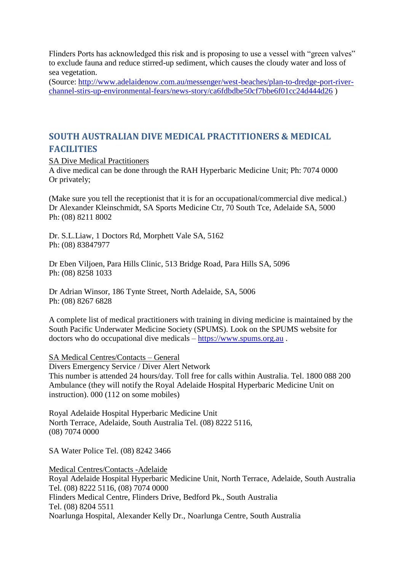Flinders Ports has acknowledged this risk and is proposing to use a vessel with "green valves" to exclude fauna and reduce stirred-up sediment, which causes the cloudy water and loss of sea vegetation.

(Source: [http://www.adelaidenow.com.au/messenger/west-beaches/plan-to-dredge-port-river](http://www.adelaidenow.com.au/messenger/west-beaches/plan-to-dredge-port-river-channel-stirs-up-environmental-fears/news-story/ca6fdbdbe50cf7bbe6f01cc24d444d26)[channel-stirs-up-environmental-fears/news-story/ca6fdbdbe50cf7bbe6f01cc24d444d26](http://www.adelaidenow.com.au/messenger/west-beaches/plan-to-dredge-port-river-channel-stirs-up-environmental-fears/news-story/ca6fdbdbe50cf7bbe6f01cc24d444d26) )

# <span id="page-7-0"></span>**SOUTH AUSTRALIAN DIVE MEDICAL PRACTITIONERS & MEDICAL FACILITIES**

SA Dive Medical Practitioners

A dive medical can be done through the RAH Hyperbaric Medicine Unit; Ph: 7074 0000 Or privately;

(Make sure you tell the receptionist that it is for an occupational/commercial dive medical.) Dr Alexander Kleinschmidt, SA Sports Medicine Ctr, 70 South Tce, Adelaide SA, 5000 Ph: (08) 8211 8002

Dr. S.L.Liaw, 1 Doctors Rd, Morphett Vale SA, 5162 Ph: (08) 83847977

Dr Eben Viljoen, Para Hills Clinic, 513 Bridge Road, Para Hills SA, 5096 Ph: (08) 8258 1033

Dr Adrian Winsor, 186 Tynte Street, North Adelaide, SA, 5006 Ph: (08) 8267 6828

A complete list of medical practitioners with training in diving medicine is maintained by the South Pacific Underwater Medicine Society (SPUMS). Look on the SPUMS website for doctors who do occupational dive medicals – [https://www.spums.org.au](https://www.spums.org.au/) .

### SA Medical Centres/Contacts – General

Divers Emergency Service / Diver Alert Network This number is attended 24 hours/day. Toll free for calls within Australia. Tel. 1800 088 200 Ambulance (they will notify the Royal Adelaide Hospital Hyperbaric Medicine Unit on instruction). 000 (112 on some mobiles)

Royal Adelaide Hospital Hyperbaric Medicine Unit North Terrace, Adelaide, South Australia Tel. (08) 8222 5116, (08) 7074 0000

SA Water Police Tel. (08) 8242 3466

Medical Centres/Contacts -Adelaide Royal Adelaide Hospital Hyperbaric Medicine Unit, North Terrace, Adelaide, South Australia Tel. (08) 8222 5116, (08) 7074 0000 Flinders Medical Centre, Flinders Drive, Bedford Pk., South Australia Tel. (08) 8204 5511 Noarlunga Hospital, Alexander Kelly Dr., Noarlunga Centre, South Australia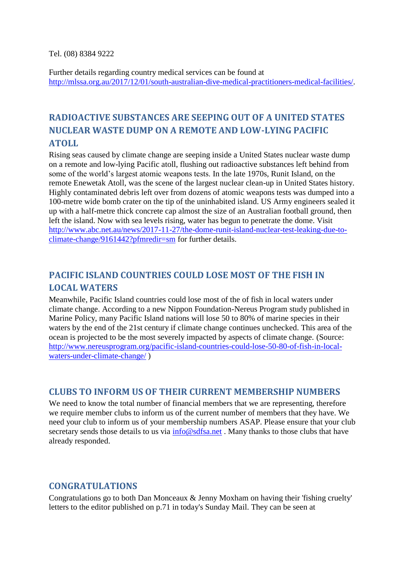#### Tel. (08) 8384 9222

Further details regarding country medical services can be found at [http://mlssa.org.au/2017/12/01/south-australian-dive-medical-practitioners-medical-facilities/.](http://mlssa.org.au/2017/12/01/south-australian-dive-medical-practitioners-medical-facilities/)

# <span id="page-8-0"></span>**RADIOACTIVE SUBSTANCES ARE SEEPING OUT OF A UNITED STATES NUCLEAR WASTE DUMP ON A REMOTE AND LOW-LYING PACIFIC ATOLL**

Rising seas caused by climate change are seeping inside a United States nuclear waste dump on a remote and low-lying Pacific atoll, flushing out radioactive substances left behind from some of the world's largest atomic weapons tests. In the late 1970s, Runit Island, on the remote Enewetak Atoll, was the scene of the largest nuclear clean-up in United States history. Highly contaminated debris left over from dozens of atomic weapons tests was dumped into a 100-metre wide bomb crater on the tip of the uninhabited island. US Army engineers sealed it up with a half-metre thick concrete cap almost the size of an Australian football ground, then left the island. Now with sea levels rising, water has begun to penetrate the dome. Visit [http://www.abc.net.au/news/2017-11-27/the-dome-runit-island-nuclear-test-leaking-due-to](http://www.abc.net.au/news/2017-11-27/the-dome-runit-island-nuclear-test-leaking-due-to-climate-change/9161442?pfmredir=sm)[climate-change/9161442?pfmredir=sm](http://www.abc.net.au/news/2017-11-27/the-dome-runit-island-nuclear-test-leaking-due-to-climate-change/9161442?pfmredir=sm) for further details.

# <span id="page-8-1"></span>**PACIFIC ISLAND COUNTRIES COULD LOSE MOST OF THE FISH IN LOCAL WATERS**

Meanwhile, Pacific Island countries could lose most of the of fish in local waters under climate change. According to a new Nippon Foundation-Nereus Program study published in Marine Policy, many Pacific Island nations will lose 50 to 80% of marine species in their waters by the end of the 21st century if climate change continues unchecked. This area of the ocean is projected to be the most severely impacted by aspects of climate change. (Source: [http://www.nereusprogram.org/pacific-island-countries-could-lose-50-80-of-fish-in-local](http://www.nereusprogram.org/pacific-island-countries-could-lose-50-80-of-fish-in-local-waters-under-climate-change/)[waters-under-climate-change/](http://www.nereusprogram.org/pacific-island-countries-could-lose-50-80-of-fish-in-local-waters-under-climate-change/) )

### <span id="page-8-2"></span>**CLUBS TO INFORM US OF THEIR CURRENT MEMBERSHIP NUMBERS**

We need to know the total number of financial members that we are representing, therefore we require member clubs to inform us of the current number of members that they have. We need your club to inform us of your membership numbers ASAP. Please ensure that your club secretary sends those details to us via  $info@sdfsa.net$ . Many thanks to those clubs that have already responded.

# <span id="page-8-3"></span>**CONGRATULATIONS**

Congratulations go to both Dan Monceaux & Jenny Moxham on having their 'fishing cruelty' letters to the editor published on p.71 in today's Sunday Mail. They can be seen at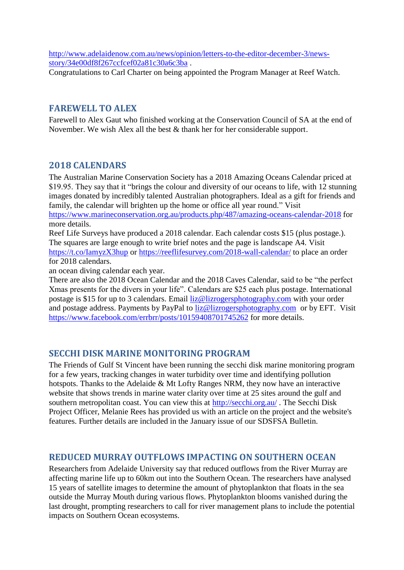[http://www.adelaidenow.com.au/news/opinion/letters-to-the-editor-december-3/news](http://www.adelaidenow.com.au/news/opinion/letters-to-the-editor-december-3/news-story/34e00df8f267ccfcef02a81c30a6c3ba)[story/34e00df8f267ccfcef02a81c30a6c3ba](http://www.adelaidenow.com.au/news/opinion/letters-to-the-editor-december-3/news-story/34e00df8f267ccfcef02a81c30a6c3ba).

Congratulations to Carl Charter on being appointed the Program Manager at Reef Watch.

# <span id="page-9-0"></span>**FAREWELL TO ALEX**

Farewell to Alex Gaut who finished working at the Conservation Council of SA at the end of November. We wish Alex all the best & thank her for her considerable support.

# <span id="page-9-1"></span>**2018 CALENDARS**

The Australian Marine Conservation Society has a 2018 Amazing Oceans Calendar priced at \$19.95. They say that it "brings the colour and diversity of our oceans to life, with 12 stunning images donated by incredibly talented Australian photographers. Ideal as a gift for friends and family, the calendar will brighten up the home or office all year round." Visit <https://www.marineconservation.org.au/products.php/487/amazing-oceans-calendar-2018> for more details.

Reef Life Surveys have produced a 2018 calendar. Each calendar costs \$15 (plus postage.). The squares are large enough to write brief notes and the page is landscape A4. Visit <https://t.co/IamyzX3hup> or<https://reeflifesurvey.com/2018-wall-calendar/> to place an order for 2018 calendars.

an ocean diving calendar each year.

There are also the 2018 Ocean Calendar and the 2018 Caves Calendar, said to be "the perfect Xmas presents for the divers in your life". Calendars are \$25 each plus postage. International postage is \$15 for up to 3 calendars. Email [liz@lizrogersphotography.com](mailto:liz@lizrogersphotography.com) with your order and postage address. Payments by PayPal to [liz@lizrogersphotography.com](mailto:liz@lizrogersphotography.com) or by EFT. Visit <https://www.facebook.com/errbrr/posts/10159408701745262> for more details.

# <span id="page-9-2"></span>**SECCHI DISK MARINE MONITORING PROGRAM**

The Friends of Gulf St Vincent have been running the secchi disk marine monitoring program for a few years, tracking changes in water turbidity over time and identifying pollution hotspots. Thanks to the Adelaide & Mt Lofty Ranges NRM, they now have an interactive website that shows trends in marine water clarity over time at 25 sites around the gulf and southern metropolitan coast. You can view this at <http://secchi.org.au/> . The Secchi Disk Project Officer, Melanie Rees has provided us with an article on the project and the website's features. Further details are included in the January issue of our SDSFSA Bulletin.

# <span id="page-9-3"></span>**REDUCED MURRAY OUTFLOWS IMPACTING ON SOUTHERN OCEAN**

Researchers from Adelaide University say that reduced outflows from the River Murray are affecting marine life up to 60km out into the Southern Ocean. The researchers have analysed 15 years of satellite images to determine the amount of phytoplankton that floats in the sea outside the Murray Mouth during various flows. Phytoplankton blooms vanished during the last drought, prompting researchers to call for river management plans to include the potential impacts on Southern Ocean ecosystems.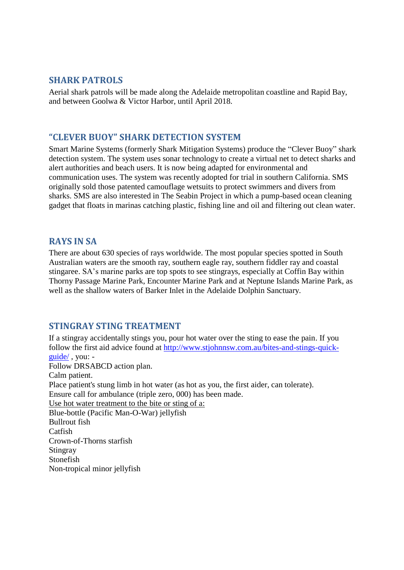# <span id="page-10-0"></span>**SHARK PATROLS**

Aerial shark patrols will be made along the Adelaide metropolitan coastline and Rapid Bay, and between Goolwa & Victor Harbor, until April 2018.

### <span id="page-10-1"></span>**"CLEVER BUOY" SHARK DETECTION SYSTEM**

Smart Marine Systems (formerly Shark Mitigation Systems) produce the "Clever Buoy" shark detection system. The system uses sonar technology to create a virtual net to detect sharks and alert authorities and beach users. It is now being adapted for environmental and communication uses. The system was recently adopted for trial in southern California. SMS originally sold those patented camouflage wetsuits to protect swimmers and divers from sharks. SMS are also interested in The Seabin Project in which a pump-based ocean cleaning gadget that floats in marinas catching plastic, fishing line and oil and filtering out clean water.

# <span id="page-10-2"></span>**RAYS IN SA**

There are about 630 species of rays worldwide. The most popular species spotted in South Australian waters are the smooth ray, southern eagle ray, southern fiddler ray and coastal stingaree. SA's marine parks are top spots to see stingrays, especially at Coffin Bay within Thorny Passage Marine Park, Encounter Marine Park and at Neptune Islands Marine Park, as well as the shallow waters of Barker Inlet in the Adelaide Dolphin Sanctuary.

# <span id="page-10-3"></span>**STINGRAY STING TREATMENT**

If a stingray accidentally stings you, pour hot water over the sting to ease the pain. If you follow the first aid advice found at [http://www.stjohnnsw.com.au/bites-and-stings-quick](http://www.stjohnnsw.com.au/bites-and-stings-quick-guide/)[guide/](http://www.stjohnnsw.com.au/bites-and-stings-quick-guide/) , you: - Follow DRSABCD action plan. Calm patient. Place patient's stung limb in hot water (as hot as you, the first aider, can tolerate). Ensure call for ambulance (triple zero, 000) has been made. Use hot water treatment to the bite or sting of a: Blue-bottle (Pacific Man-O-War) jellyfish Bullrout fish **Catfish** Crown-of-Thorns starfish **Stingray** Stonefish Non-tropical minor jellyfish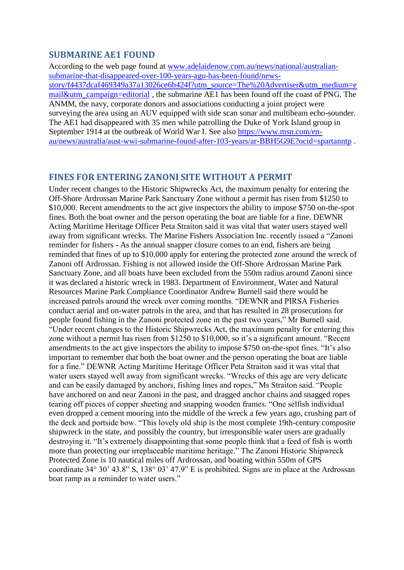### <span id="page-11-0"></span>**SUBMARINE AE1 FOUND**

According to the web page found at [www.adelaidenow.com.au/news/national/australian](http://www.adelaidenow.com.au/news/national/australian-submarine-that-disappeared-over-100-years-ago-has-been-found/news-story/f4437dcaf469349a37a13026ce6b424f?utm_source=The%20Advertiser&utm_medium=email&utm_campaign=editorial)[submarine-that-disappeared-over-100-years-ago-has-been-found/news](http://www.adelaidenow.com.au/news/national/australian-submarine-that-disappeared-over-100-years-ago-has-been-found/news-story/f4437dcaf469349a37a13026ce6b424f?utm_source=The%20Advertiser&utm_medium=email&utm_campaign=editorial)[story/f4437dcaf469349a37a13026ce6b424f?utm\\_source=The%20Advertiser&utm\\_medium=e](http://www.adelaidenow.com.au/news/national/australian-submarine-that-disappeared-over-100-years-ago-has-been-found/news-story/f4437dcaf469349a37a13026ce6b424f?utm_source=The%20Advertiser&utm_medium=email&utm_campaign=editorial) [mail&utm\\_campaign=editorial](http://www.adelaidenow.com.au/news/national/australian-submarine-that-disappeared-over-100-years-ago-has-been-found/news-story/f4437dcaf469349a37a13026ce6b424f?utm_source=The%20Advertiser&utm_medium=email&utm_campaign=editorial), the submarine AE1 has been found off the coast of PNG. The ANMM, the navy, corporate donors and associations conducting a joint project were surveying the area using an AUV equipped with side scan sonar and multibeam echo-sounder. The AE1 had disappeared with 35 men while patrolling the Duke of York Island group in September 1914 at the outbreak of World War I. See also [https://www.msn.com/en](https://www.msn.com/en-au/news/australia/aust-wwi-submarine-found-after-103-years/ar-BBH5G9E?ocid=spartanntp)[au/news/australia/aust-wwi-submarine-found-after-103-years/ar-BBH5G9E?ocid=spartanntp](https://www.msn.com/en-au/news/australia/aust-wwi-submarine-found-after-103-years/ar-BBH5G9E?ocid=spartanntp) .

### <span id="page-11-1"></span>**FINES FOR ENTERING ZANONI SITE WITHOUT A PERMIT**

Under recent changes to the Historic Shipwrecks Act, the maximum penalty for entering the Off-Shore Ardrossan Marine Park Sanctuary Zone without a permit has risen from \$1250 to \$10,000. Recent amendments to the act give inspectors the ability to impose \$750 on-the-spot fines. Both the boat owner and the person operating the boat are liable for a fine. DEWNR Acting Maritime Heritage Officer Peta Straiton said it was vital that water users stayed well away from significant wrecks. The Marine Fishers Association Inc. recently issued a "Zanoni reminder for fishers - As the annual snapper closure comes to an end, fishers are being reminded that fines of up to \$10,000 apply for entering the protected zone around the wreck of Zanoni off Ardrossan. Fishing is not allowed inside the Off-Shore Ardrossan Marine Park Sanctuary Zone, and all boats have been excluded from the 550m radius around Zanoni since it was declared a historic wreck in 1983. Department of Environment, Water and Natural Resources Marine Park Compliance Coordinator Andrew Burnell said there would be increased patrols around the wreck over coming months. "DEWNR and PIRSA Fisheries conduct aerial and on-water patrols in the area, and that has resulted in 28 prosecutions for people found fishing in the Zanoni protected zone in the past two years," Mr Burnell said. "Under recent changes to the Historic Shipwrecks Act, the maximum penalty for entering this zone without a permit has risen from \$1250 to \$10,000, so it's a significant amount. "Recent amendments to the act give inspectors the ability to impose \$750 on-the-spot fines. "It's also important to remember that both the boat owner and the person operating the boat are liable for a fine." DEWNR Acting Maritime Heritage Officer Peta Straiton said it was vital that water users stayed well away from significant wrecks. "Wrecks of this age are very delicate and can be easily damaged by anchors, fishing lines and ropes," Ms Straiton said. "People have anchored on and near Zanoni in the past, and dragged anchor chains and snagged ropes tearing off pieces of copper sheeting and snapping wooden frames. "One selfish individual even dropped a cement mooring into the middle of the wreck a few years ago, crushing part of the deck and portside bow. "This lovely old ship is the most complete 19th-century composite shipwreck in the state, and possibly the country, but irresponsible water users are gradually destroying it. "It's extremely disappointing that some people think that a feed of fish is worth more than protecting our irreplaceable maritime heritage." The Zanoni Historic Shipwreck Protected Zone is 10 nautical miles off Ardrossan, and boating within 550m of GPS coordinate 34° 30' 43.8" S, 138° 03' 47.9" E is prohibited. Signs are in place at the Ardrossan boat ramp as a reminder to water users."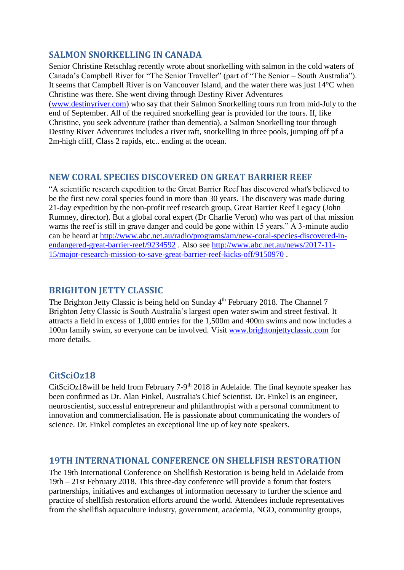# <span id="page-12-0"></span>**SALMON SNORKELLING IN CANADA**

<span id="page-12-1"></span>2m-high cliff, Class 2 rapids, etc.. ending at the ocean.

Senior Christine Retschlag recently wrote about snorkelling with salmon in the cold waters of Canada's Campbell River for "The Senior Traveller" (part of "The Senior – South Australia"). It seems that Campbell River is on Vancouver Island, and the water there was just 14°C when Christine was there. She went diving through Destiny River Adventures [\(www.destinyriver.com\)](http://www.destinyriver.com/) who say that their Salmon Snorkelling tours run from mid-July to the end of September. All of the required snorkelling gear is provided for the tours. If, like Christine, you seek adventure (rather than dementia), a Salmon Snorkelling tour through Destiny River Adventures includes a river raft, snorkelling in three pools, jumping off pf a

# **NEW CORAL SPECIES DISCOVERED ON GREAT BARRIER REEF**

"A scientific research expedition to the Great Barrier Reef has discovered what's believed to be the first new coral species found in more than 30 years. The discovery was made during 21-day expedition by the non-profit reef research group, Great Barrier Reef Legacy (John Rumney, director). But a global coral expert (Dr Charlie Veron) who was part of that mission warns the reef is still in grave danger and could be gone within 15 years." A 3-minute audio can be heard at [http://www.abc.net.au/radio/programs/am/new-coral-species-discovered-in](http://www.abc.net.au/radio/programs/am/new-coral-species-discovered-in-endangered-great-barrier-reef/9234592)[endangered-great-barrier-reef/9234592](http://www.abc.net.au/radio/programs/am/new-coral-species-discovered-in-endangered-great-barrier-reef/9234592) . Also see [http://www.abc.net.au/news/2017-11-](http://www.abc.net.au/news/2017-11-15/major-research-mission-to-save-great-barrier-reef-kicks-off/9150970) [15/major-research-mission-to-save-great-barrier-reef-kicks-off/9150970](http://www.abc.net.au/news/2017-11-15/major-research-mission-to-save-great-barrier-reef-kicks-off/9150970) .

# <span id="page-12-2"></span>**BRIGHTON JETTY CLASSIC**

The Brighton Jetty Classic is being held on Sunday 4<sup>th</sup> February 2018. The Channel 7 Brighton Jetty Classic is South Australia's largest open water swim and street festival. It attracts a field in excess of 1,000 entries for the 1,500m and 400m swims and now includes a 100m family swim, so everyone can be involved. Visit [www.brightonjettyclassic.com](http://www.brightonjettyclassic.com/) for more details.

# <span id="page-12-3"></span>**CitSciOz18**

CitSciOz18will be held from February 7-9<sup>th</sup> 2018 in Adelaide. The final keynote speaker has been confirmed as Dr. Alan Finkel, Australia's Chief Scientist. Dr. Finkel is an engineer, neuroscientist, successful entrepreneur and philanthropist with a personal commitment to innovation and commercialisation. He is passionate about communicating the wonders of science. Dr. Finkel completes an exceptional line up of key note speakers.

# <span id="page-12-4"></span>**19TH INTERNATIONAL CONFERENCE ON SHELLFISH RESTORATION**

The 19th International Conference on Shellfish Restoration is being held in Adelaide from 19th – 21st February 2018. This three-day conference will provide a forum that fosters partnerships, initiatives and exchanges of information necessary to further the science and practice of shellfish restoration efforts around the world. Attendees include representatives from the shellfish aquaculture industry, government, academia, NGO, community groups,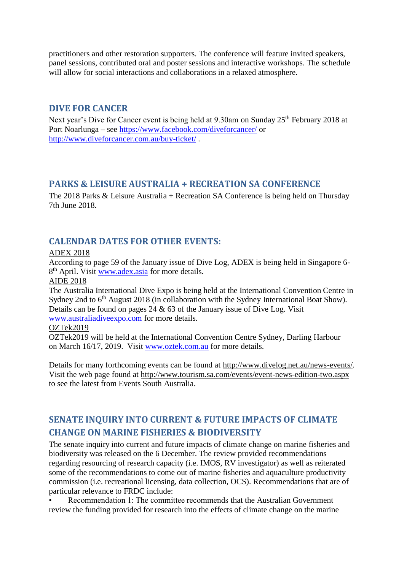practitioners and other restoration supporters. The conference will feature invited speakers, panel sessions, contributed oral and poster sessions and interactive workshops. The schedule will allow for social interactions and collaborations in a relaxed atmosphere.

### <span id="page-13-0"></span>**DIVE FOR CANCER**

Next year's Dive for Cancer event is being held at 9.30am on Sunday 25<sup>th</sup> February 2018 at Port Noarlunga – see<https://www.facebook.com/diveforcancer/> or <http://www.diveforcancer.com.au/buy-ticket/> .

# <span id="page-13-1"></span>**PARKS & LEISURE AUSTRALIA + RECREATION SA CONFERENCE**

The 2018 Parks & Leisure Australia + Recreation SA Conference is being held on Thursday 7th June 2018.

# <span id="page-13-2"></span>**CALENDAR DATES FOR OTHER EVENTS:**

### ADEX 2018

According to page 59 of the January issue of Dive Log, ADEX is being held in Singapore 6 8<sup>th</sup> April. Visit [www.adex.asia](http://www.adex.asia/) for more details.

AIDE 2018

The Australia International Dive Expo is being held at the International Convention Centre in Sydney 2nd to  $6<sup>th</sup>$  August 2018 (in collaboration with the Sydney International Boat Show). Details can be found on pages 24 & 63 of the January issue of Dive Log. Visit

[www.australiadiveexpo.com](http://www.australiadiveexpo.com/) for more details.

OZTek2019

OZTek2019 will be held at the International Convention Centre Sydney, Darling Harbour on March 16/17, 2019. Visit [www.oztek.com.au](http://www.oztek.com.au/) for more details.

Details for many forthcoming events can be found at [http://www.divelog.net.au/news-events/.](http://www.divelog.net.au/news-events/) Visit the web page found at<http://www.tourism.sa.com/events/event-news-edition-two.aspx> to see the latest from Events South Australia.

# <span id="page-13-3"></span>**SENATE INQUIRY INTO CURRENT & FUTURE IMPACTS OF CLIMATE CHANGE ON MARINE FISHERIES & BIODIVERSITY**

The senate inquiry into current and future impacts of climate change on marine fisheries and biodiversity was released on the 6 December. The review provided recommendations regarding resourcing of research capacity (i.e. IMOS, RV investigator) as well as reiterated some of the recommendations to come out of marine fisheries and aquaculture productivity commission (i.e. recreational licensing, data collection, OCS). Recommendations that are of particular relevance to FRDC include:

• Recommendation 1: The committee recommends that the Australian Government review the funding provided for research into the effects of climate change on the marine